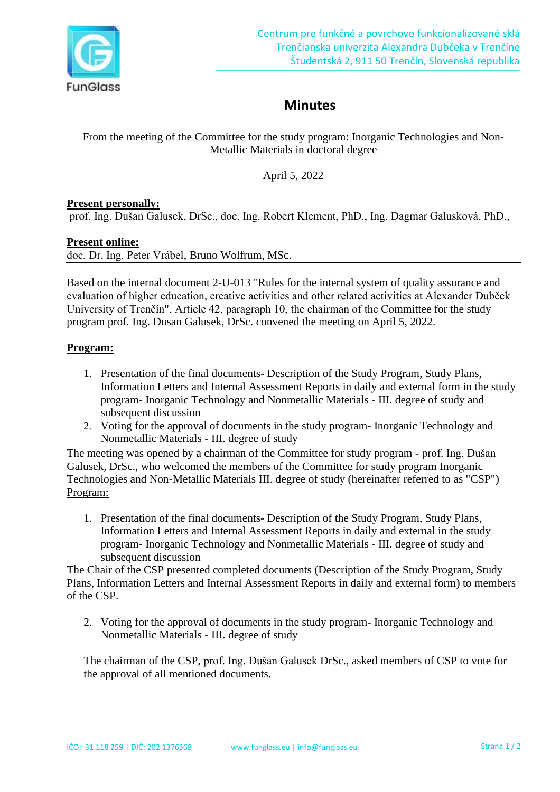

# **Minutes**

From the meeting of the Committee for the study program: Inorganic Technologies and Non-Metallic Materials in doctoral degree

April 5, 2022

### **Present personally:**

prof. Ing. Dušan Galusek, DrSc., doc. Ing. Robert Klement, PhD., Ing. Dagmar Galusková, PhD.,

### **Present online:**

doc. Dr. Ing. Peter Vrábel, Bruno Wolfrum, MSc.

Based on the internal document 2-U-013 "Rules for the internal system of quality assurance and evaluation of higher education, creative activities and other related activities at Alexander Dubček University of Trenčín", Article 42, paragraph 10, the chairman of the Committee for the study program prof. Ing. Dusan Galusek, DrSc. convened the meeting on April 5, 2022.

## **Program:**

- 1. Presentation of the final documents- Description of the Study Program, Study Plans, Information Letters and Internal Assessment Reports in daily and external form in the study program- Inorganic Technology and Nonmetallic Materials - III. degree of study and subsequent discussion
- 2. Voting for the approval of documents in the study program- Inorganic Technology and Nonmetallic Materials - III. degree of study

The meeting was opened by a chairman of the Committee for study program - prof. Ing. Dušan Galusek, DrSc., who welcomed the members of the Committee for study program Inorganic Technologies and Non-Metallic Materials III. degree of study (hereinafter referred to as "CSP") Program:

1. Presentation of the final documents- Description of the Study Program, Study Plans, Information Letters and Internal Assessment Reports in daily and external in the study program- Inorganic Technology and Nonmetallic Materials - III. degree of study and subsequent discussion

The Chair of the CSP presented completed documents (Description of the Study Program, Study Plans, Information Letters and Internal Assessment Reports in daily and external form) to members of the CSP.

2. Voting for the approval of documents in the study program- Inorganic Technology and Nonmetallic Materials - III. degree of study

The chairman of the CSP, prof. Ing. Dušan Galusek DrSc., asked members of CSP to vote for the approval of all mentioned documents.